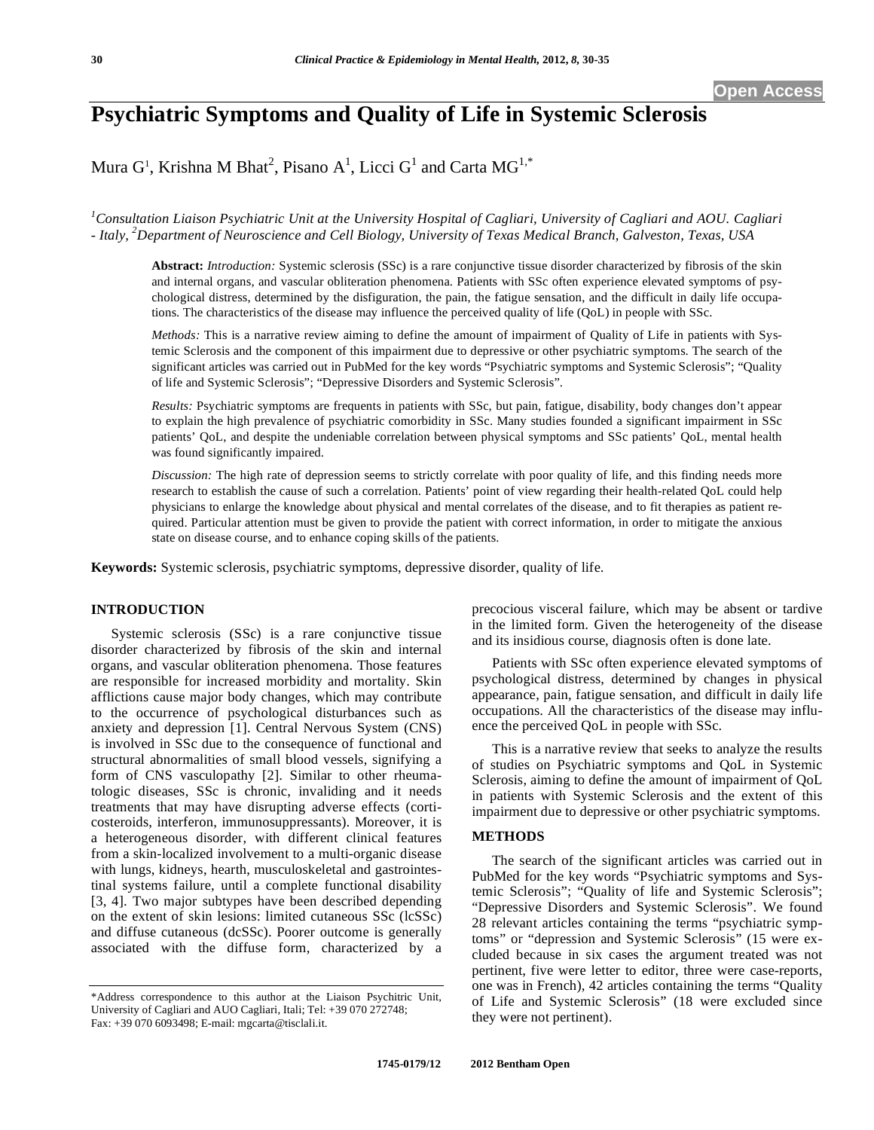# **Psychiatric Symptoms and Quality of Life in Systemic Sclerosis**

Mura  $G^1$ , Krishna M Bhat<sup>2</sup>, Pisano A<sup>1</sup>, Licci  $G^1$  and Carta M $G^{1,*}$ 

<sup>1</sup> Consultation Liaison Psychiatric Unit at the University Hospital of Cagliari, University of Cagliari and AOU. Cagliari *- Italy, 2 Department of Neuroscience and Cell Biology, University of Texas Medical Branch, Galveston, Texas, USA* 

**Abstract:** *Introduction:* Systemic sclerosis (SSc) is a rare conjunctive tissue disorder characterized by fibrosis of the skin and internal organs, and vascular obliteration phenomena. Patients with SSc often experience elevated symptoms of psychological distress, determined by the disfiguration, the pain, the fatigue sensation, and the difficult in daily life occupations. The characteristics of the disease may influence the perceived quality of life (QoL) in people with SSc.

*Methods:* This is a narrative review aiming to define the amount of impairment of Quality of Life in patients with Systemic Sclerosis and the component of this impairment due to depressive or other psychiatric symptoms. The search of the significant articles was carried out in PubMed for the key words "Psychiatric symptoms and Systemic Sclerosis"; "Quality of life and Systemic Sclerosis"; "Depressive Disorders and Systemic Sclerosis".

*Results:* Psychiatric symptoms are frequents in patients with SSc, but pain, fatigue, disability, body changes don't appear to explain the high prevalence of psychiatric comorbidity in SSc. Many studies founded a significant impairment in SSc patients' QoL, and despite the undeniable correlation between physical symptoms and SSc patients' QoL, mental health was found significantly impaired.

*Discussion:* The high rate of depression seems to strictly correlate with poor quality of life, and this finding needs more research to establish the cause of such a correlation. Patients' point of view regarding their health-related QoL could help physicians to enlarge the knowledge about physical and mental correlates of the disease, and to fit therapies as patient required. Particular attention must be given to provide the patient with correct information, in order to mitigate the anxious state on disease course, and to enhance coping skills of the patients.

**Keywords:** Systemic sclerosis, psychiatric symptoms, depressive disorder, quality of life.

# **INTRODUCTION**

Systemic sclerosis (SSc) is a rare conjunctive tissue disorder characterized by fibrosis of the skin and internal organs, and vascular obliteration phenomena. Those features are responsible for increased morbidity and mortality. Skin afflictions cause major body changes, which may contribute to the occurrence of psychological disturbances such as anxiety and depression [1]. Central Nervous System (CNS) is involved in SSc due to the consequence of functional and structural abnormalities of small blood vessels, signifying a form of CNS vasculopathy [2]. Similar to other rheumatologic diseases, SSc is chronic, invaliding and it needs treatments that may have disrupting adverse effects (corticosteroids, interferon, immunosuppressants). Moreover, it is a heterogeneous disorder, with different clinical features from a skin-localized involvement to a multi-organic disease with lungs, kidneys, hearth, musculoskeletal and gastrointestinal systems failure, until a complete functional disability [3, 4]. Two major subtypes have been described depending on the extent of skin lesions: limited cutaneous SSc (lcSSc) and diffuse cutaneous (dcSSc). Poorer outcome is generally associated with the diffuse form, characterized by a

precocious visceral failure, which may be absent or tardive in the limited form. Given the heterogeneity of the disease and its insidious course, diagnosis often is done late.

Patients with SSc often experience elevated symptoms of psychological distress, determined by changes in physical appearance, pain, fatigue sensation, and difficult in daily life occupations. All the characteristics of the disease may influence the perceived QoL in people with SSc.

This is a narrative review that seeks to analyze the results of studies on Psychiatric symptoms and QoL in Systemic Sclerosis, aiming to define the amount of impairment of QoL in patients with Systemic Sclerosis and the extent of this impairment due to depressive or other psychiatric symptoms.

# **METHODS**

The search of the significant articles was carried out in PubMed for the key words "Psychiatric symptoms and Systemic Sclerosis"; "Quality of life and Systemic Sclerosis"; "Depressive Disorders and Systemic Sclerosis". We found 28 relevant articles containing the terms "psychiatric symptoms" or "depression and Systemic Sclerosis" (15 were excluded because in six cases the argument treated was not pertinent, five were letter to editor, three were case-reports, one was in French), 42 articles containing the terms "Quality of Life and Systemic Sclerosis" (18 were excluded since they were not pertinent).

<sup>\*</sup>Address correspondence to this author at the Liaison Psychitric Unit, University of Cagliari and AUO Cagliari, Itali; Tel: +39 070 272748; Fax: +39 070 6093498; E-mail: mgcarta@tisclali.it.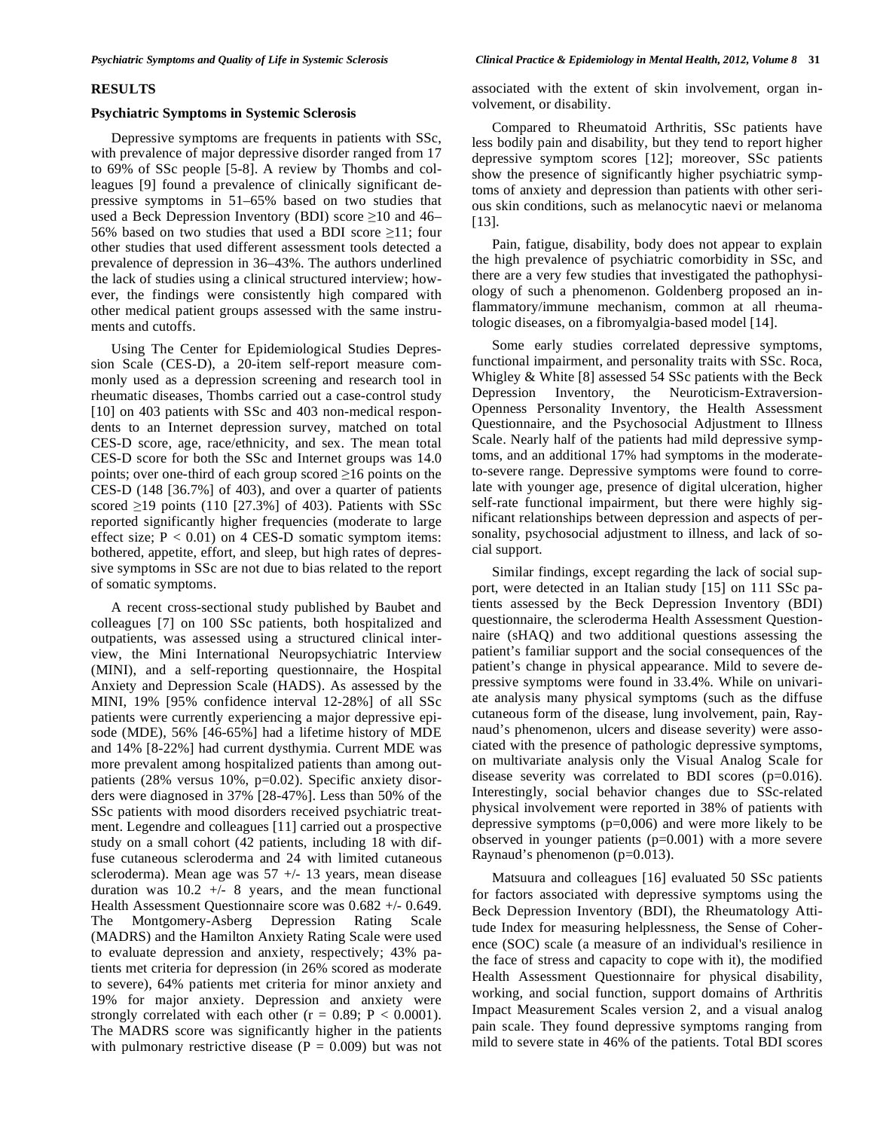# **RESULTS**

### **Psychiatric Symptoms in Systemic Sclerosis**

Depressive symptoms are frequents in patients with SSc, with prevalence of major depressive disorder ranged from 17 to 69% of SSc people [5-8]. A review by Thombs and colleagues [9] found a prevalence of clinically significant depressive symptoms in 51–65% based on two studies that used a Beck Depression Inventory (BDI) score  $\geq 10$  and 46– 56% based on two studies that used a BDI score  $\geq$ 11; four other studies that used different assessment tools detected a prevalence of depression in 36–43%. The authors underlined the lack of studies using a clinical structured interview; however, the findings were consistently high compared with other medical patient groups assessed with the same instruments and cutoffs.

Using The Center for Epidemiological Studies Depression Scale (CES-D), a 20-item self-report measure commonly used as a depression screening and research tool in rheumatic diseases, Thombs carried out a case-control study [10] on 403 patients with SSc and 403 non-medical respondents to an Internet depression survey, matched on total CES-D score, age, race/ethnicity, and sex. The mean total CES-D score for both the SSc and Internet groups was 14.0 points; over one-third of each group scored  $\geq 16$  points on the CES-D (148 [36.7%] of 403), and over a quarter of patients scored  $\geq$ 19 points (110 [27.3%] of 403). Patients with SSc reported significantly higher frequencies (moderate to large effect size;  $P < 0.01$ ) on 4 CES-D somatic symptom items: bothered, appetite, effort, and sleep, but high rates of depressive symptoms in SSc are not due to bias related to the report of somatic symptoms.

A recent cross-sectional study published by Baubet and colleagues [7] on 100 SSc patients, both hospitalized and outpatients, was assessed using a structured clinical interview, the Mini International Neuropsychiatric Interview (MINI), and a self-reporting questionnaire, the Hospital Anxiety and Depression Scale (HADS). As assessed by the MINI, 19% [95% confidence interval 12-28%] of all SSc patients were currently experiencing a major depressive episode (MDE), 56% [46-65%] had a lifetime history of MDE and 14% [8-22%] had current dysthymia. Current MDE was more prevalent among hospitalized patients than among outpatients (28% versus 10%, p=0.02). Specific anxiety disorders were diagnosed in 37% [28-47%]. Less than 50% of the SSc patients with mood disorders received psychiatric treatment. Legendre and colleagues [11] carried out a prospective study on a small cohort (42 patients, including 18 with diffuse cutaneous scleroderma and 24 with limited cutaneous scleroderma). Mean age was 57 +/- 13 years, mean disease duration was  $10.2$  +/- 8 years, and the mean functional Health Assessment Questionnaire score was 0.682 +/- 0.649. The Montgomery-Asberg Depression Rating Scale (MADRS) and the Hamilton Anxiety Rating Scale were used to evaluate depression and anxiety, respectively; 43% patients met criteria for depression (in 26% scored as moderate to severe), 64% patients met criteria for minor anxiety and 19% for major anxiety. Depression and anxiety were strongly correlated with each other ( $r = 0.89$ ;  $P < 0.0001$ ). The MADRS score was significantly higher in the patients with pulmonary restrictive disease ( $P = 0.009$ ) but was not

associated with the extent of skin involvement, organ involvement, or disability.

Compared to Rheumatoid Arthritis, SSc patients have less bodily pain and disability, but they tend to report higher depressive symptom scores [12]; moreover, SSc patients show the presence of significantly higher psychiatric symptoms of anxiety and depression than patients with other serious skin conditions, such as melanocytic naevi or melanoma [13].

Pain, fatigue, disability, body does not appear to explain the high prevalence of psychiatric comorbidity in SSc, and there are a very few studies that investigated the pathophysiology of such a phenomenon. Goldenberg proposed an inflammatory/immune mechanism, common at all rheumatologic diseases, on a fibromyalgia-based model [14].

Some early studies correlated depressive symptoms, functional impairment, and personality traits with SSc. Roca, Whigley & White [8] assessed 54 SSc patients with the Beck Depression Inventory, the Neuroticism-Extraversion-Openness Personality Inventory, the Health Assessment Questionnaire, and the Psychosocial Adjustment to Illness Scale. Nearly half of the patients had mild depressive symptoms, and an additional 17% had symptoms in the moderateto-severe range. Depressive symptoms were found to correlate with younger age, presence of digital ulceration, higher self-rate functional impairment, but there were highly significant relationships between depression and aspects of personality, psychosocial adjustment to illness, and lack of social support.

Similar findings, except regarding the lack of social support, were detected in an Italian study [15] on 111 SSc patients assessed by the Beck Depression Inventory (BDI) questionnaire, the scleroderma Health Assessment Questionnaire (sHAQ) and two additional questions assessing the patient's familiar support and the social consequences of the patient's change in physical appearance. Mild to severe depressive symptoms were found in 33.4%. While on univariate analysis many physical symptoms (such as the diffuse cutaneous form of the disease, lung involvement, pain, Raynaud's phenomenon, ulcers and disease severity) were associated with the presence of pathologic depressive symptoms, on multivariate analysis only the Visual Analog Scale for disease severity was correlated to BDI scores (p=0.016). Interestingly, social behavior changes due to SSc-related physical involvement were reported in 38% of patients with depressive symptoms (p=0,006) and were more likely to be observed in younger patients  $(p=0.001)$  with a more severe Raynaud's phenomenon (p=0.013).

Matsuura and colleagues [16] evaluated 50 SSc patients for factors associated with depressive symptoms using the Beck Depression Inventory (BDI), the Rheumatology Attitude Index for measuring helplessness, the Sense of Coherence (SOC) scale (a measure of an individual's resilience in the face of stress and capacity to cope with it), the modified Health Assessment Questionnaire for physical disability, working, and social function, support domains of Arthritis Impact Measurement Scales version 2, and a visual analog pain scale. They found depressive symptoms ranging from mild to severe state in 46% of the patients. Total BDI scores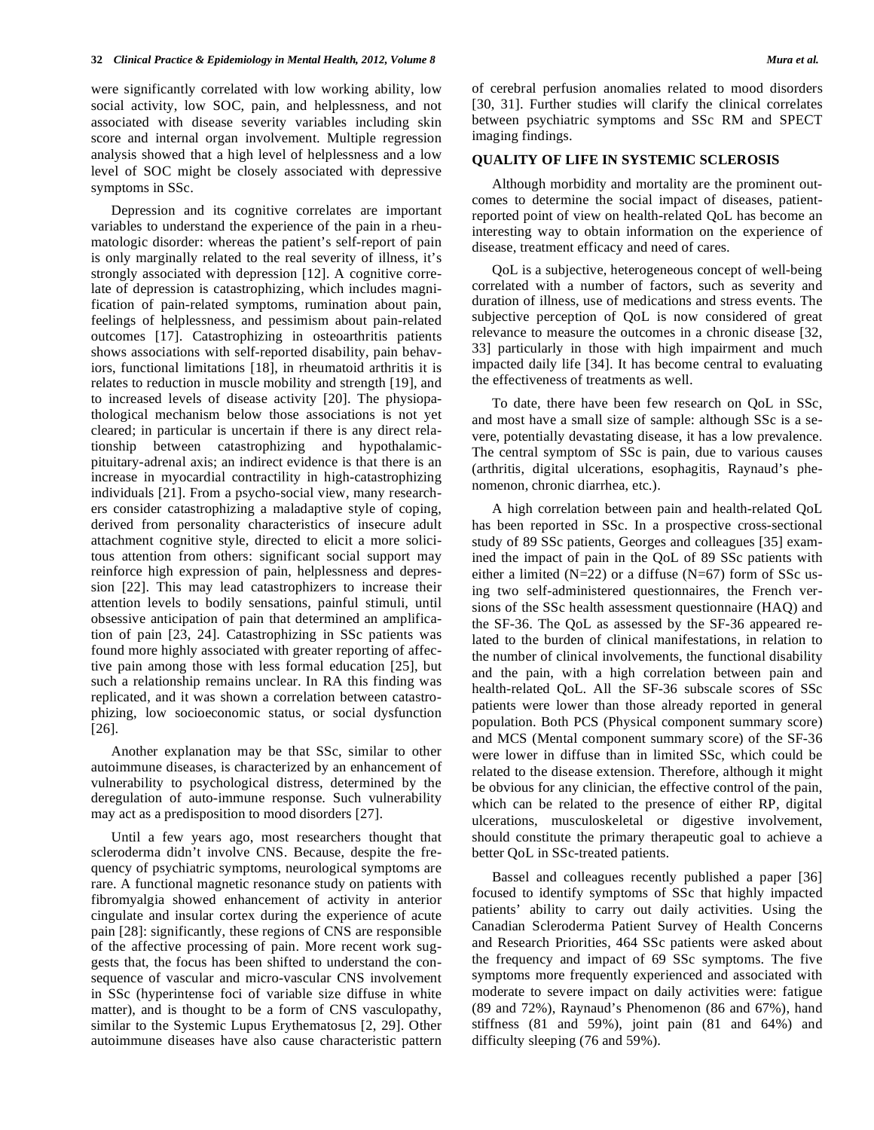were significantly correlated with low working ability, low social activity, low SOC, pain, and helplessness, and not associated with disease severity variables including skin score and internal organ involvement. Multiple regression analysis showed that a high level of helplessness and a low level of SOC might be closely associated with depressive symptoms in SSc.

Depression and its cognitive correlates are important variables to understand the experience of the pain in a rheumatologic disorder: whereas the patient's self-report of pain is only marginally related to the real severity of illness, it's strongly associated with depression [12]. A cognitive correlate of depression is catastrophizing, which includes magnification of pain-related symptoms, rumination about pain, feelings of helplessness, and pessimism about pain-related outcomes [17]. Catastrophizing in osteoarthritis patients shows associations with self-reported disability, pain behaviors, functional limitations [18], in rheumatoid arthritis it is relates to reduction in muscle mobility and strength [19], and to increased levels of disease activity [20]. The physiopathological mechanism below those associations is not yet cleared; in particular is uncertain if there is any direct relationship between catastrophizing and hypothalamicpituitary-adrenal axis; an indirect evidence is that there is an increase in myocardial contractility in high-catastrophizing individuals [21]. From a psycho-social view, many researchers consider catastrophizing a maladaptive style of coping, derived from personality characteristics of insecure adult attachment cognitive style, directed to elicit a more solicitous attention from others: significant social support may reinforce high expression of pain, helplessness and depression [22]. This may lead catastrophizers to increase their attention levels to bodily sensations, painful stimuli, until obsessive anticipation of pain that determined an amplification of pain [23, 24]. Catastrophizing in SSc patients was found more highly associated with greater reporting of affective pain among those with less formal education [25], but such a relationship remains unclear. In RA this finding was replicated, and it was shown a correlation between catastrophizing, low socioeconomic status, or social dysfunction [26].

Another explanation may be that SSc, similar to other autoimmune diseases, is characterized by an enhancement of vulnerability to psychological distress, determined by the deregulation of auto-immune response. Such vulnerability may act as a predisposition to mood disorders [27].

Until a few years ago, most researchers thought that scleroderma didn't involve CNS. Because, despite the frequency of psychiatric symptoms, neurological symptoms are rare. A functional magnetic resonance study on patients with fibromyalgia showed enhancement of activity in anterior cingulate and insular cortex during the experience of acute pain [28]: significantly, these regions of CNS are responsible of the affective processing of pain. More recent work suggests that, the focus has been shifted to understand the consequence of vascular and micro-vascular CNS involvement in SSc (hyperintense foci of variable size diffuse in white matter), and is thought to be a form of CNS vasculopathy, similar to the Systemic Lupus Erythematosus [2, 29]. Other autoimmune diseases have also cause characteristic pattern of cerebral perfusion anomalies related to mood disorders [30, 31]. Further studies will clarify the clinical correlates between psychiatric symptoms and SSc RM and SPECT imaging findings.

### **QUALITY OF LIFE IN SYSTEMIC SCLEROSIS**

Although morbidity and mortality are the prominent outcomes to determine the social impact of diseases, patientreported point of view on health-related QoL has become an interesting way to obtain information on the experience of disease, treatment efficacy and need of cares.

QoL is a subjective, heterogeneous concept of well-being correlated with a number of factors, such as severity and duration of illness, use of medications and stress events. The subjective perception of QoL is now considered of great relevance to measure the outcomes in a chronic disease [32, 33] particularly in those with high impairment and much impacted daily life [34]. It has become central to evaluating the effectiveness of treatments as well.

To date, there have been few research on QoL in SSc, and most have a small size of sample: although SSc is a severe, potentially devastating disease, it has a low prevalence. The central symptom of SSc is pain, due to various causes (arthritis, digital ulcerations, esophagitis, Raynaud's phenomenon, chronic diarrhea, etc.).

A high correlation between pain and health-related QoL has been reported in SSc. In a prospective cross-sectional study of 89 SSc patients, Georges and colleagues [35] examined the impact of pain in the QoL of 89 SSc patients with either a limited  $(N=22)$  or a diffuse  $(N=67)$  form of SSc using two self-administered questionnaires, the French versions of the SSc health assessment questionnaire (HAQ) and the SF-36. The QoL as assessed by the SF-36 appeared related to the burden of clinical manifestations, in relation to the number of clinical involvements, the functional disability and the pain, with a high correlation between pain and health-related QoL. All the SF-36 subscale scores of SSc patients were lower than those already reported in general population. Both PCS (Physical component summary score) and MCS (Mental component summary score) of the SF-36 were lower in diffuse than in limited SSc, which could be related to the disease extension. Therefore, although it might be obvious for any clinician, the effective control of the pain, which can be related to the presence of either RP, digital ulcerations, musculoskeletal or digestive involvement, should constitute the primary therapeutic goal to achieve a better QoL in SSc-treated patients.

Bassel and colleagues recently published a paper [36] focused to identify symptoms of SSc that highly impacted patients' ability to carry out daily activities. Using the Canadian Scleroderma Patient Survey of Health Concerns and Research Priorities, 464 SSc patients were asked about the frequency and impact of 69 SSc symptoms. The five symptoms more frequently experienced and associated with moderate to severe impact on daily activities were: fatigue (89 and 72%), Raynaud's Phenomenon (86 and 67%), hand stiffness (81 and 59%), joint pain (81 and 64%) and difficulty sleeping (76 and 59%).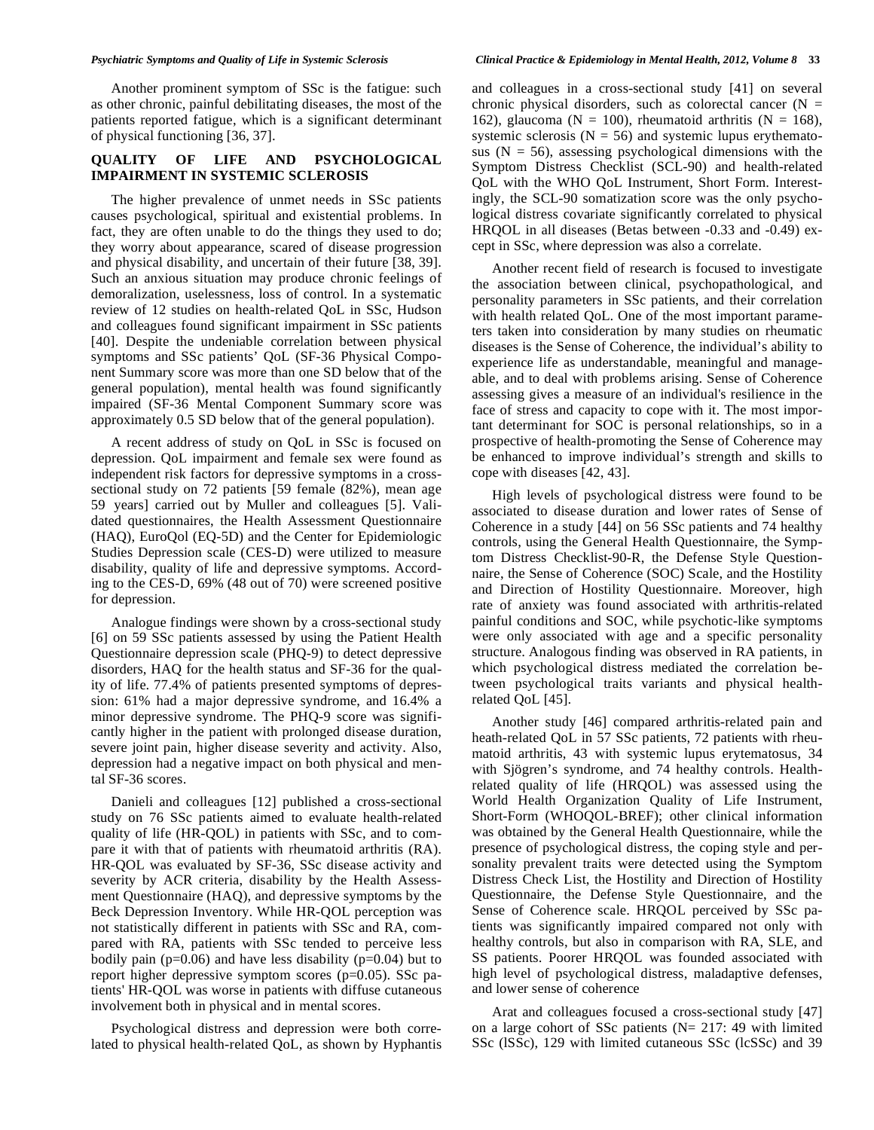Another prominent symptom of SSc is the fatigue: such as other chronic, painful debilitating diseases, the most of the patients reported fatigue, which is a significant determinant of physical functioning [36, 37].

# **QUALITY OF LIFE AND PSYCHOLOGICAL IMPAIRMENT IN SYSTEMIC SCLEROSIS**

The higher prevalence of unmet needs in SSc patients causes psychological, spiritual and existential problems. In fact, they are often unable to do the things they used to do; they worry about appearance, scared of disease progression and physical disability, and uncertain of their future [38, 39]. Such an anxious situation may produce chronic feelings of demoralization, uselessness, loss of control. In a systematic review of 12 studies on health-related QoL in SSc, Hudson and colleagues found significant impairment in SSc patients [40]. Despite the undeniable correlation between physical symptoms and SSc patients' QoL (SF-36 Physical Component Summary score was more than one SD below that of the general population), mental health was found significantly impaired (SF-36 Mental Component Summary score was approximately 0.5 SD below that of the general population).

A recent address of study on QoL in SSc is focused on depression. QoL impairment and female sex were found as independent risk factors for depressive symptoms in a crosssectional study on 72 patients [59 female (82%), mean age 59 years] carried out by Muller and colleagues [5]. Validated questionnaires, the Health Assessment Questionnaire (HAQ), EuroQol (EQ-5D) and the Center for Epidemiologic Studies Depression scale (CES-D) were utilized to measure disability, quality of life and depressive symptoms. According to the CES-D, 69% (48 out of 70) were screened positive for depression.

Analogue findings were shown by a cross-sectional study [6] on 59 SSc patients assessed by using the Patient Health Questionnaire depression scale (PHQ-9) to detect depressive disorders, HAQ for the health status and SF-36 for the quality of life. 77.4% of patients presented symptoms of depression: 61% had a major depressive syndrome, and 16.4% a minor depressive syndrome. The PHQ-9 score was significantly higher in the patient with prolonged disease duration, severe joint pain, higher disease severity and activity. Also, depression had a negative impact on both physical and mental SF-36 scores.

Danieli and colleagues [12] published a cross-sectional study on 76 SSc patients aimed to evaluate health-related quality of life (HR-QOL) in patients with SSc, and to compare it with that of patients with rheumatoid arthritis (RA). HR-QOL was evaluated by SF-36, SSc disease activity and severity by ACR criteria, disability by the Health Assessment Questionnaire (HAQ), and depressive symptoms by the Beck Depression Inventory. While HR-QOL perception was not statistically different in patients with SSc and RA, compared with RA, patients with SSc tended to perceive less bodily pain ( $p=0.06$ ) and have less disability ( $p=0.04$ ) but to report higher depressive symptom scores (p=0.05). SSc patients' HR-QOL was worse in patients with diffuse cutaneous involvement both in physical and in mental scores.

Psychological distress and depression were both correlated to physical health-related QoL, as shown by Hyphantis and colleagues in a cross-sectional study [41] on several chronic physical disorders, such as colorectal cancer  $(N =$ 162), glaucoma (N = 100), rheumatoid arthritis (N = 168), systemic sclerosis ( $N = 56$ ) and systemic lupus erythematosus  $(N = 56)$ , assessing psychological dimensions with the Symptom Distress Checklist (SCL-90) and health-related QoL with the WHO QoL Instrument, Short Form. Interestingly, the SCL-90 somatization score was the only psychological distress covariate significantly correlated to physical HRQOL in all diseases (Betas between -0.33 and -0.49) except in SSc, where depression was also a correlate.

Another recent field of research is focused to investigate the association between clinical, psychopathological, and personality parameters in SSc patients, and their correlation with health related QoL. One of the most important parameters taken into consideration by many studies on rheumatic diseases is the Sense of Coherence, the individual's ability to experience life as understandable, meaningful and manageable, and to deal with problems arising. Sense of Coherence assessing gives a measure of an individual's resilience in the face of stress and capacity to cope with it. The most important determinant for SOC is personal relationships, so in a prospective of health-promoting the Sense of Coherence may be enhanced to improve individual's strength and skills to cope with diseases [42, 43].

High levels of psychological distress were found to be associated to disease duration and lower rates of Sense of Coherence in a study [44] on 56 SSc patients and 74 healthy controls, using the General Health Questionnaire, the Symptom Distress Checklist-90-R, the Defense Style Questionnaire, the Sense of Coherence (SOC) Scale, and the Hostility and Direction of Hostility Questionnaire. Moreover, high rate of anxiety was found associated with arthritis-related painful conditions and SOC, while psychotic-like symptoms were only associated with age and a specific personality structure. Analogous finding was observed in RA patients, in which psychological distress mediated the correlation between psychological traits variants and physical healthrelated QoL [45].

Another study [46] compared arthritis-related pain and heath-related QoL in 57 SSc patients, 72 patients with rheumatoid arthritis, 43 with systemic lupus erytematosus, 34 with Sjögren's syndrome, and 74 healthy controls. Healthrelated quality of life (HRQOL) was assessed using the World Health Organization Quality of Life Instrument, Short-Form (WHOQOL-BREF); other clinical information was obtained by the General Health Questionnaire, while the presence of psychological distress, the coping style and personality prevalent traits were detected using the Symptom Distress Check List, the Hostility and Direction of Hostility Questionnaire, the Defense Style Questionnaire, and the Sense of Coherence scale. HRQOL perceived by SSc patients was significantly impaired compared not only with healthy controls, but also in comparison with RA, SLE, and SS patients. Poorer HRQOL was founded associated with high level of psychological distress, maladaptive defenses, and lower sense of coherence

Arat and colleagues focused a cross-sectional study [47] on a large cohort of SSc patients (N= 217: 49 with limited SSc (lSSc), 129 with limited cutaneous SSc (lcSSc) and 39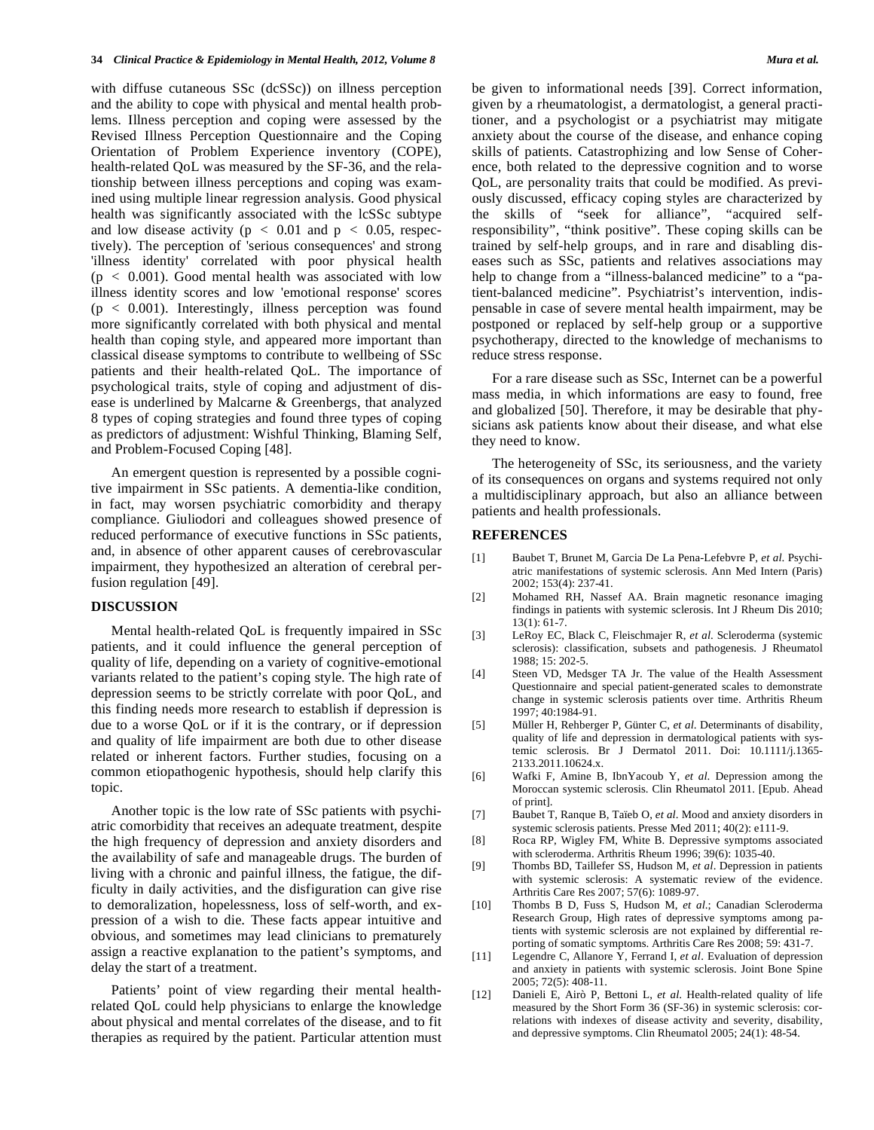with diffuse cutaneous SSc (dcSSc)) on illness perception and the ability to cope with physical and mental health problems. Illness perception and coping were assessed by the Revised Illness Perception Questionnaire and the Coping Orientation of Problem Experience inventory (COPE), health-related QoL was measured by the SF-36, and the relationship between illness perceptions and coping was examined using multiple linear regression analysis. Good physical health was significantly associated with the lcSSc subtype and low disease activity ( $p < 0.01$  and  $p < 0.05$ , respectively). The perception of 'serious consequences' and strong 'illness identity' correlated with poor physical health  $(p < 0.001)$ . Good mental health was associated with low illness identity scores and low 'emotional response' scores  $(p < 0.001)$ . Interestingly, illness perception was found more significantly correlated with both physical and mental health than coping style, and appeared more important than classical disease symptoms to contribute to wellbeing of SSc patients and their health-related QoL. The importance of psychological traits, style of coping and adjustment of disease is underlined by Malcarne & Greenbergs, that analyzed 8 types of coping strategies and found three types of coping as predictors of adjustment: Wishful Thinking, Blaming Self, and Problem-Focused Coping [48].

An emergent question is represented by a possible cognitive impairment in SSc patients. A dementia-like condition, in fact, may worsen psychiatric comorbidity and therapy compliance. Giuliodori and colleagues showed presence of reduced performance of executive functions in SSc patients, and, in absence of other apparent causes of cerebrovascular impairment, they hypothesized an alteration of cerebral perfusion regulation [49].

# **DISCUSSION**

Mental health-related QoL is frequently impaired in SSc patients, and it could influence the general perception of quality of life, depending on a variety of cognitive-emotional variants related to the patient's coping style. The high rate of depression seems to be strictly correlate with poor QoL, and this finding needs more research to establish if depression is due to a worse QoL or if it is the contrary, or if depression and quality of life impairment are both due to other disease related or inherent factors. Further studies, focusing on a common etiopathogenic hypothesis, should help clarify this topic.

Another topic is the low rate of SSc patients with psychiatric comorbidity that receives an adequate treatment, despite the high frequency of depression and anxiety disorders and the availability of safe and manageable drugs. The burden of living with a chronic and painful illness, the fatigue, the difficulty in daily activities, and the disfiguration can give rise to demoralization, hopelessness, loss of self-worth, and expression of a wish to die. These facts appear intuitive and obvious, and sometimes may lead clinicians to prematurely assign a reactive explanation to the patient's symptoms, and delay the start of a treatment.

Patients' point of view regarding their mental healthrelated QoL could help physicians to enlarge the knowledge about physical and mental correlates of the disease, and to fit therapies as required by the patient. Particular attention must be given to informational needs [39]. Correct information, given by a rheumatologist, a dermatologist, a general practitioner, and a psychologist or a psychiatrist may mitigate anxiety about the course of the disease, and enhance coping skills of patients. Catastrophizing and low Sense of Coherence, both related to the depressive cognition and to worse QoL, are personality traits that could be modified. As previously discussed, efficacy coping styles are characterized by the skills of "seek for alliance", "acquired selfresponsibility", "think positive". These coping skills can be trained by self-help groups, and in rare and disabling diseases such as SSc, patients and relatives associations may help to change from a "illness-balanced medicine" to a "patient-balanced medicine". Psychiatrist's intervention, indispensable in case of severe mental health impairment, may be postponed or replaced by self-help group or a supportive psychotherapy, directed to the knowledge of mechanisms to reduce stress response.

For a rare disease such as SSc, Internet can be a powerful mass media, in which informations are easy to found, free and globalized [50]. Therefore, it may be desirable that physicians ask patients know about their disease, and what else they need to know.

The heterogeneity of SSc, its seriousness, and the variety of its consequences on organs and systems required not only a multidisciplinary approach, but also an alliance between patients and health professionals.

### **REFERENCES**

- [1] Baubet T, Brunet M, Garcia De La Pena-Lefebvre P, *et al*. Psychiatric manifestations of systemic sclerosis. Ann Med Intern (Paris) 2002; 153(4): 237-41.
- [2] Mohamed RH, Nassef AA. Brain magnetic resonance imaging findings in patients with systemic sclerosis. Int J Rheum Dis 2010; 13(1): 61-7.
- [3] LeRoy EC, Black C, Fleischmajer R, *et al*. Scleroderma (systemic sclerosis): classification, subsets and pathogenesis. J Rheumatol 1988; 15: 202-5.
- [4] Steen VD, Medsger TA Jr. The value of the Health Assessment Questionnaire and special patient-generated scales to demonstrate change in systemic sclerosis patients over time. Arthritis Rheum 1997; 40:1984-91.
- [5] Müller H, Rehberger P, Günter C, *et al*. Determinants of disability, quality of life and depression in dermatological patients with systemic sclerosis. Br J Dermatol 2011. Doi: 10.1111/j.1365- 2133.2011.10624.x.
- [6] Wafki F, Amine B, IbnYacoub Y, *et al*. Depression among the Moroccan systemic sclerosis. Clin Rheumatol 2011. [Epub. Ahead of print].
- [7] Baubet T, Ranque B, Taïeb O, *et al*. Mood and anxiety disorders in systemic sclerosis patients. Presse Med 2011; 40(2): e111-9.
- [8] Roca RP, Wigley FM, White B. Depressive symptoms associated with scleroderma. Arthritis Rheum 1996; 39(6): 1035-40.
- [9] Thombs BD, Taillefer SS, Hudson M, *et al*. Depression in patients with systemic sclerosis: A systematic review of the evidence. Arthritis Care Res 2007; 57(6): 1089-97.
- [10] Thombs B D, Fuss S, Hudson M, *et al*.; Canadian Scleroderma Research Group, High rates of depressive symptoms among patients with systemic sclerosis are not explained by differential reporting of somatic symptoms. Arthritis Care Res 2008; 59: 431-7.
- [11] Legendre C, Allanore Y, Ferrand I, *et al*. Evaluation of depression and anxiety in patients with systemic sclerosis. Joint Bone Spine 2005; 72(5): 408-11.
- [12] Danieli E, Airò P, Bettoni L, *et al*. Health-related quality of life measured by the Short Form 36 (SF-36) in systemic sclerosis: correlations with indexes of disease activity and severity, disability, and depressive symptoms. Clin Rheumatol 2005; 24(1): 48-54.